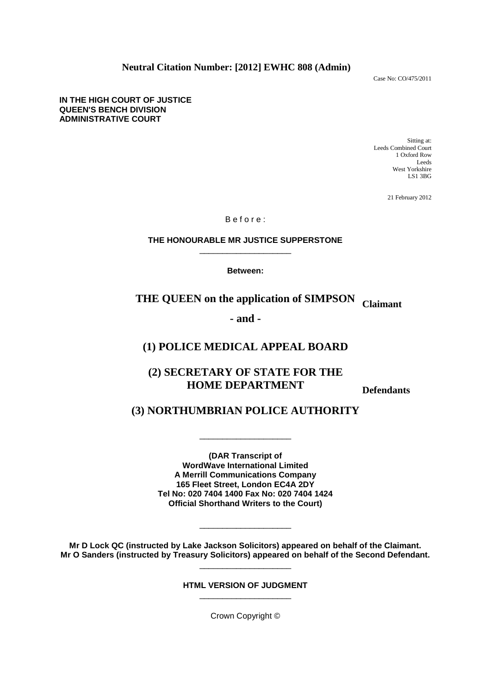**Neutral Citation Number: [2012] EWHC 808 (Admin)**

Case No: CO/475/2011

**IN THE HIGH COURT OF JUSTICE QUEEN'S BENCH DIVISION ADMINISTRATIVE COURT**

> Sitting at: Leeds Combined Court 1 Oxford Row Leeds West Yorkshire LS1 3BG

> > 21 February 2012

B e f o r e :

## **THE HONOURABLE MR JUSTICE SUPPERSTONE** \_\_\_\_\_\_\_\_\_\_\_\_\_\_\_\_\_\_\_\_

**Between:**

# **THE QUEEN on the application of SIMPSON Claimant**

**- and -**

## **(1) POLICE MEDICAL APPEAL BOARD**

## **(2) SECRETARY OF STATE FOR THE HOME DEPARTMENT**

**Defendants** 

## **(3) NORTHUMBRIAN POLICE AUTHORITY**

\_\_\_\_\_\_\_\_\_\_\_\_\_\_\_\_\_\_\_\_

**(DAR Transcript of WordWave International Limited A Merrill Communications Company 165 Fleet Street, London EC4A 2DY Tel No: 020 7404 1400 Fax No: 020 7404 1424 Official Shorthand Writers to the Court)** 

**Mr D Lock QC (instructed by Lake Jackson Solicitors) appeared on behalf of the Claimant. Mr O Sanders (instructed by Treasury Solicitors) appeared on behalf of the Second Defendant.**  \_\_\_\_\_\_\_\_\_\_\_\_\_\_\_\_\_\_\_\_

\_\_\_\_\_\_\_\_\_\_\_\_\_\_\_\_\_\_\_\_

**HTML VERSION OF JUDGMENT**  \_\_\_\_\_\_\_\_\_\_\_\_\_\_\_\_\_\_\_\_

Crown Copyright ©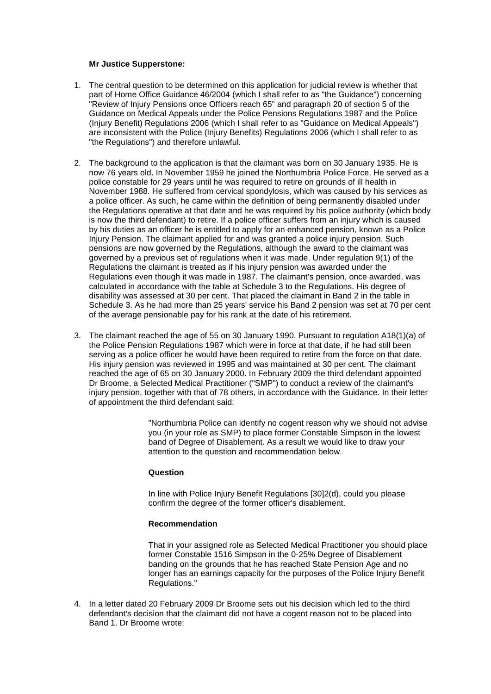### **Mr Justice Supperstone:**

- 1. The central question to be determined on this application for judicial review is whether that part of Home Office Guidance 46/2004 (which I shall refer to as "the Guidance") concerning "Review of Injury Pensions once Officers reach 65" and paragraph 20 of section 5 of the Guidance on Medical Appeals under the Police Pensions Regulations 1987 and the Police (Injury Benefit) Regulations 2006 (which I shall refer to as "Guidance on Medical Appeals") are inconsistent with the Police (Injury Benefits) Regulations 2006 (which I shall refer to as "the Regulations") and therefore unlawful.
- 2. The background to the application is that the claimant was born on 30 January 1935. He is now 76 years old. In November 1959 he joined the Northumbria Police Force. He served as a police constable for 29 years until he was required to retire on grounds of ill health in November 1988. He suffered from cervical spondylosis, which was caused by his services as a police officer. As such, he came within the definition of being permanently disabled under the Regulations operative at that date and he was required by his police authority (which body is now the third defendant) to retire. If a police officer suffers from an injury which is caused by his duties as an officer he is entitled to apply for an enhanced pension, known as a Police Injury Pension. The claimant applied for and was granted a police injury pension. Such pensions are now governed by the Regulations, although the award to the claimant was governed by a previous set of regulations when it was made. Under regulation 9(1) of the Regulations the claimant is treated as if his injury pension was awarded under the Regulations even though it was made in 1987. The claimant's pension, once awarded, was calculated in accordance with the table at Schedule 3 to the Regulations. His degree of disability was assessed at 30 per cent. That placed the claimant in Band 2 in the table in Schedule 3. As he had more than 25 years' service his Band 2 pension was set at 70 per cent of the average pensionable pay for his rank at the date of his retirement.
- 3. The claimant reached the age of 55 on 30 January 1990. Pursuant to regulation A18(1)(a) of the Police Pension Regulations 1987 which were in force at that date, if he had still been serving as a police officer he would have been required to retire from the force on that date. His injury pension was reviewed in 1995 and was maintained at 30 per cent. The claimant reached the age of 65 on 30 January 2000. In February 2009 the third defendant appointed Dr Broome, a Selected Medical Practitioner ("SMP") to conduct a review of the claimant's injury pension, together with that of 78 others, in accordance with the Guidance. In their letter of appointment the third defendant said:

"Northumbria Police can identify no cogent reason why we should not advise you (in your role as SMP) to place former Constable Simpson in the lowest band of Degree of Disablement. As a result we would like to draw your attention to the question and recommendation below.

## **Question**

In line with Police Injury Benefit Regulations [30]2(d), could you please confirm the degree of the former officer's disablement.

#### **Recommendation**

That in your assigned role as Selected Medical Practitioner you should place former Constable 1516 Simpson in the 0-25% Degree of Disablement banding on the grounds that he has reached State Pension Age and no longer has an earnings capacity for the purposes of the Police Injury Benefit Regulations."

4. In a letter dated 20 February 2009 Dr Broome sets out his decision which led to the third defendant's decision that the claimant did not have a cogent reason not to be placed into Band 1. Dr Broome wrote: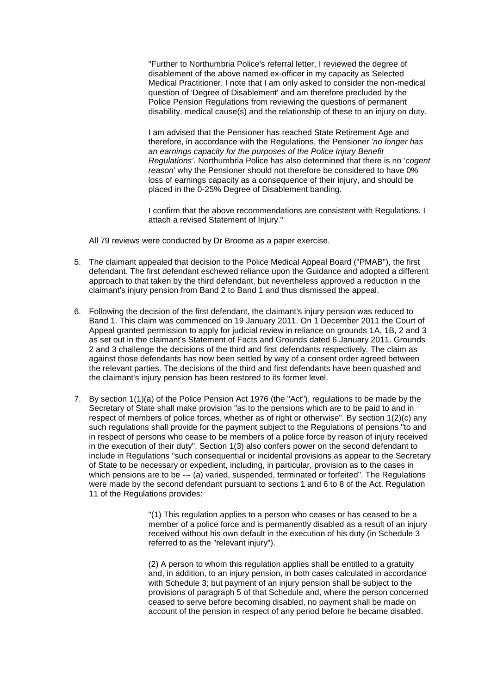"Further to Northumbria Police's referral letter, I reviewed the degree of disablement of the above named ex-officer in my capacity as Selected Medical Practitioner. I note that I am only asked to consider the non-medical question of 'Degree of Disablement' and am therefore precluded by the Police Pension Regulations from reviewing the questions of permanent disability, medical cause(s) and the relationship of these to an injury on duty.

I am advised that the Pensioner has reached State Retirement Age and therefore, in accordance with the Regulations, the Pensioner *'no longer has an earnings capacity for the purposes of the Police Injury Benefit Regulations'*. Northumbria Police has also determined that there is no '*cogent reason*' why the Pensioner should not therefore be considered to have 0% loss of earnings capacity as a consequence of their injury, and should be placed in the 0-25% Degree of Disablement banding.

I confirm that the above recommendations are consistent with Regulations. I attach a revised Statement of Injury."

All 79 reviews were conducted by Dr Broome as a paper exercise.

- 5. The claimant appealed that decision to the Police Medical Appeal Board ("PMAB"), the first defendant. The first defendant eschewed reliance upon the Guidance and adopted a different approach to that taken by the third defendant, but nevertheless approved a reduction in the claimant's injury pension from Band 2 to Band 1 and thus dismissed the appeal.
- 6. Following the decision of the first defendant, the claimant's injury pension was reduced to Band 1. This claim was commenced on 19 January 2011. On 1 December 2011 the Court of Appeal granted permission to apply for judicial review in reliance on grounds 1A, 1B, 2 and 3 as set out in the claimant's Statement of Facts and Grounds dated 6 January 2011. Grounds 2 and 3 challenge the decisions of the third and first defendants respectively. The claim as against those defendants has now been settled by way of a consent order agreed between the relevant parties. The decisions of the third and first defendants have been quashed and the claimant's injury pension has been restored to its former level.
- 7. By section 1(1)(a) of the Police Pension Act 1976 (the "Act"), regulations to be made by the Secretary of State shall make provision "as to the pensions which are to be paid to and in respect of members of police forces, whether as of right or otherwise". By section 1(2)(c) any such regulations shall provide for the payment subject to the Regulations of pensions "to and in respect of persons who cease to be members of a police force by reason of injury received in the execution of their duty". Section 1(3) also confers power on the second defendant to include in Regulations "such consequential or incidental provisions as appear to the Secretary of State to be necessary or expedient, including, in particular, provision as to the cases in which pensions are to be --- (a) varied, suspended, terminated or forfeited". The Regulations were made by the second defendant pursuant to sections 1 and 6 to 8 of the Act. Regulation 11 of the Regulations provides:

"(1) This regulation applies to a person who ceases or has ceased to be a member of a police force and is permanently disabled as a result of an injury received without his own default in the execution of his duty (in Schedule 3 referred to as the "relevant injury").

(2) A person to whom this regulation applies shall be entitled to a gratuity and, in addition, to an injury pension, in both cases calculated in accordance with Schedule 3; but payment of an injury pension shall be subject to the provisions of paragraph 5 of that Schedule and, where the person concerned ceased to serve before becoming disabled, no payment shall be made on account of the pension in respect of any period before he became disabled.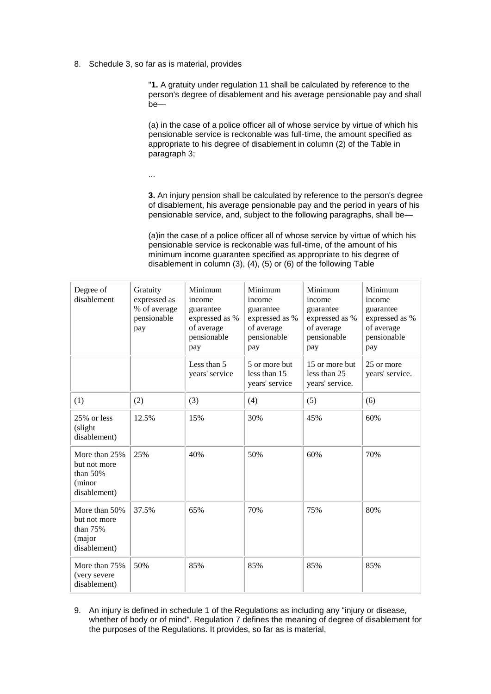8. Schedule 3, so far as is material, provides

"**1.** A gratuity under regulation 11 shall be calculated by reference to the person's degree of disablement and his average pensionable pay and shall be—

(a) in the case of a police officer all of whose service by virtue of which his pensionable service is reckonable was full-time, the amount specified as appropriate to his degree of disablement in column (2) of the Table in paragraph 3;

...

**3.** An injury pension shall be calculated by reference to the person's degree of disablement, his average pensionable pay and the period in years of his pensionable service, and, subject to the following paragraphs, shall be—

(a)in the case of a police officer all of whose service by virtue of which his pensionable service is reckonable was full-time, of the amount of his minimum income guarantee specified as appropriate to his degree of disablement in column (3), (4), (5) or (6) of the following Table

| Degree of<br>disablement                                              | Gratuity<br>expressed as<br>% of average<br>pensionable<br>pay | Minimum<br>income<br>guarantee<br>expressed as %<br>of average<br>pensionable<br>pay | Minimum<br>income<br>guarantee<br>expressed as %<br>of average<br>pensionable<br>pay | Minimum<br>income<br>guarantee<br>expressed as %<br>of average<br>pensionable<br>pay | Minimum<br>income<br>guarantee<br>expressed as %<br>of average<br>pensionable<br>pay |
|-----------------------------------------------------------------------|----------------------------------------------------------------|--------------------------------------------------------------------------------------|--------------------------------------------------------------------------------------|--------------------------------------------------------------------------------------|--------------------------------------------------------------------------------------|
|                                                                       |                                                                | Less than 5<br>years' service                                                        | 5 or more but<br>less than 15<br>years' service                                      | 15 or more but<br>less than 25<br>years' service.                                    | 25 or more<br>years' service.                                                        |
| (1)                                                                   | (2)                                                            | (3)                                                                                  | (4)                                                                                  | (5)                                                                                  | (6)                                                                                  |
| 25% or less<br>(slight)<br>disablement)                               | 12.5%                                                          | 15%                                                                                  | 30%                                                                                  | 45%                                                                                  | 60%                                                                                  |
| More than 25%<br>but not more<br>than $50%$<br>(minor<br>disablement) | 25%                                                            | 40%                                                                                  | 50%                                                                                  | 60%                                                                                  | 70%                                                                                  |
| More than 50%<br>but not more<br>than 75%<br>(major<br>disablement)   | 37.5%                                                          | 65%                                                                                  | 70%                                                                                  | 75%                                                                                  | 80%                                                                                  |
| More than 75%<br>(very severe<br>disablement)                         | 50%                                                            | 85%                                                                                  | 85%                                                                                  | 85%                                                                                  | 85%                                                                                  |

9. An injury is defined in schedule 1 of the Regulations as including any "injury or disease, whether of body or of mind". Regulation 7 defines the meaning of degree of disablement for the purposes of the Regulations. It provides, so far as is material,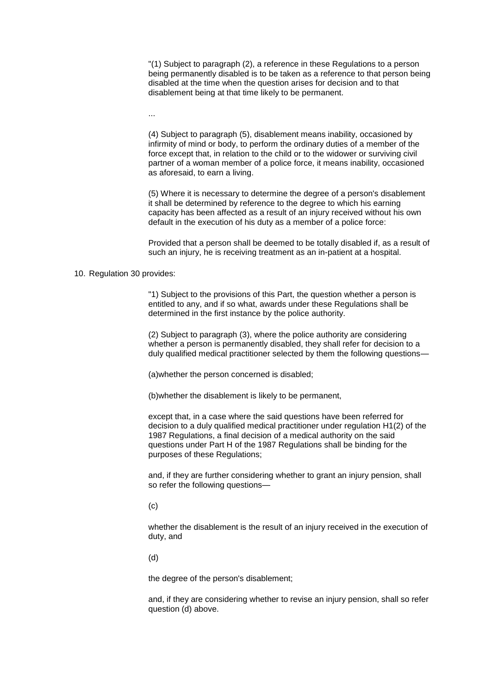"(1) Subject to paragraph (2), a reference in these Regulations to a person being permanently disabled is to be taken as a reference to that person being disabled at the time when the question arises for decision and to that disablement being at that time likely to be permanent.

...

(4) Subject to paragraph (5), disablement means inability, occasioned by infirmity of mind or body, to perform the ordinary duties of a member of the force except that, in relation to the child or to the widower or surviving civil partner of a woman member of a police force, it means inability, occasioned as aforesaid, to earn a living.

(5) Where it is necessary to determine the degree of a person's disablement it shall be determined by reference to the degree to which his earning capacity has been affected as a result of an injury received without his own default in the execution of his duty as a member of a police force:

Provided that a person shall be deemed to be totally disabled if, as a result of such an injury, he is receiving treatment as an in-patient at a hospital.

## 10. Regulation 30 provides:

"1) Subject to the provisions of this Part, the question whether a person is entitled to any, and if so what, awards under these Regulations shall be determined in the first instance by the police authority.

(2) Subject to paragraph (3), where the police authority are considering whether a person is permanently disabled, they shall refer for decision to a duly qualified medical practitioner selected by them the following questions—

(a)whether the person concerned is disabled;

(b)whether the disablement is likely to be permanent,

except that, in a case where the said questions have been referred for decision to a duly qualified medical practitioner under regulation H1(2) of the 1987 Regulations, a final decision of a medical authority on the said questions under Part H of the 1987 Regulations shall be binding for the purposes of these Regulations;

and, if they are further considering whether to grant an injury pension, shall so refer the following questions—

 $(c)$ 

whether the disablement is the result of an injury received in the execution of duty, and

(d)

the degree of the person's disablement;

and, if they are considering whether to revise an injury pension, shall so refer question (d) above.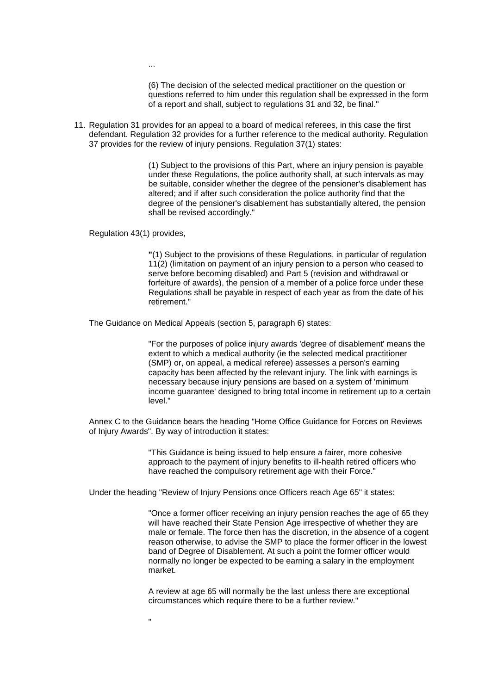...

(6) The decision of the selected medical practitioner on the question or questions referred to him under this regulation shall be expressed in the form of a report and shall, subject to regulations 31 and 32, be final."

11. Regulation 31 provides for an appeal to a board of medical referees, in this case the first defendant. Regulation 32 provides for a further reference to the medical authority. Regulation 37 provides for the review of injury pensions. Regulation 37(1) states:

> (1) Subject to the provisions of this Part, where an injury pension is payable under these Regulations, the police authority shall, at such intervals as may be suitable, consider whether the degree of the pensioner's disablement has altered; and if after such consideration the police authority find that the degree of the pensioner's disablement has substantially altered, the pension shall be revised accordingly."

Regulation 43(1) provides,

"

**"**(1) Subject to the provisions of these Regulations, in particular of regulation 11(2) (limitation on payment of an injury pension to a person who ceased to serve before becoming disabled) and Part 5 (revision and withdrawal or forfeiture of awards), the pension of a member of a police force under these Regulations shall be payable in respect of each year as from the date of his retirement."

The Guidance on Medical Appeals (section 5, paragraph 6) states:

"For the purposes of police injury awards 'degree of disablement' means the extent to which a medical authority (ie the selected medical practitioner (SMP) or, on appeal, a medical referee) assesses a person's earning capacity has been affected by the relevant injury. The link with earnings is necessary because injury pensions are based on a system of 'minimum income guarantee' designed to bring total income in retirement up to a certain level."

Annex C to the Guidance bears the heading "Home Office Guidance for Forces on Reviews of Injury Awards". By way of introduction it states:

> "This Guidance is being issued to help ensure a fairer, more cohesive approach to the payment of injury benefits to ill-health retired officers who have reached the compulsory retirement age with their Force."

Under the heading "Review of Injury Pensions once Officers reach Age 65" it states:

"Once a former officer receiving an injury pension reaches the age of 65 they will have reached their State Pension Age irrespective of whether they are male or female. The force then has the discretion, in the absence of a cogent reason otherwise, to advise the SMP to place the former officer in the lowest band of Degree of Disablement. At such a point the former officer would normally no longer be expected to be earning a salary in the employment market.

A review at age 65 will normally be the last unless there are exceptional circumstances which require there to be a further review."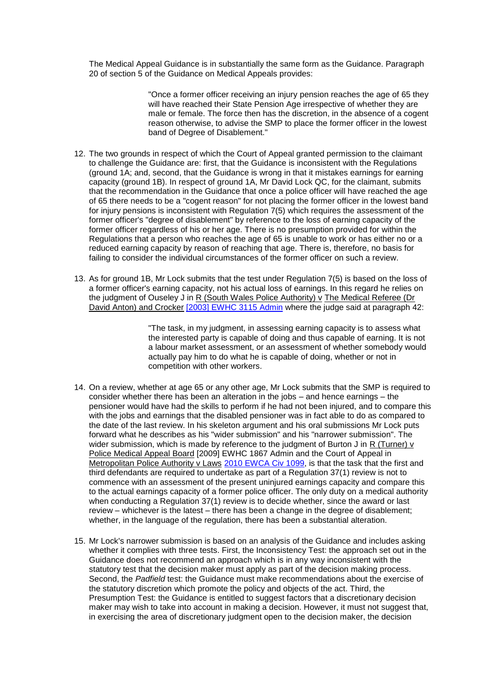The Medical Appeal Guidance is in substantially the same form as the Guidance. Paragraph 20 of section 5 of the Guidance on Medical Appeals provides:

> "Once a former officer receiving an injury pension reaches the age of 65 they will have reached their State Pension Age irrespective of whether they are male or female. The force then has the discretion, in the absence of a cogent reason otherwise, to advise the SMP to place the former officer in the lowest band of Degree of Disablement."

- 12. The two grounds in respect of which the Court of Appeal granted permission to the claimant to challenge the Guidance are: first, that the Guidance is inconsistent with the Regulations (ground 1A; and, second, that the Guidance is wrong in that it mistakes earnings for earning capacity (ground 1B). In respect of ground 1A, Mr David Lock QC, for the claimant, submits that the recommendation in the Guidance that once a police officer will have reached the age of 65 there needs to be a "cogent reason" for not placing the former officer in the lowest band for injury pensions is inconsistent with Regulation 7(5) which requires the assessment of the former officer's "degree of disablement" by reference to the loss of earning capacity of the former officer regardless of his or her age. There is no presumption provided for within the Regulations that a person who reaches the age of 65 is unable to work or has either no or a reduced earning capacity by reason of reaching that age. There is, therefore, no basis for failing to consider the individual circumstances of the former officer on such a review.
- 13. As for ground 1B, Mr Lock submits that the test under Regulation 7(5) is based on the loss of a former officer's earning capacity, not his actual loss of earnings. In this regard he relies on the judgment of Ouseley J in R (South Wales Police Authority) v The Medical Referee (Dr David Anton) and Crocker [\[2003\] EWHC 3115 Admin](http://www.bailii.org/ew/cases/EWHC/Admin/2003/3115.html) where the judge said at paragraph 42:

"The task, in my judgment, in assessing earning capacity is to assess what the interested party is capable of doing and thus capable of earning. It is not a labour market assessment, or an assessment of whether somebody would actually pay him to do what he is capable of doing, whether or not in competition with other workers.

- 14. On a review, whether at age 65 or any other age, Mr Lock submits that the SMP is required to consider whether there has been an alteration in the jobs – and hence earnings – the pensioner would have had the skills to perform if he had not been injured, and to compare this with the jobs and earnings that the disabled pensioner was in fact able to do as compared to the date of the last review. In his skeleton argument and his oral submissions Mr Lock puts forward what he describes as his "wider submission" and his "narrower submission". The wider submission, which is made by reference to the judgment of Burton J in R (Turner) v Police Medical Appeal Board [2009] EWHC 1867 Admin and the Court of Appeal in Metropolitan Police Authority v Laws [2010 EWCA Civ 1099,](http://www.bailii.org/ew/cases/EWCA/Civ/2010/1099.html) is that the task that the first and third defendants are required to undertake as part of a Regulation 37(1) review is not to commence with an assessment of the present uninjured earnings capacity and compare this to the actual earnings capacity of a former police officer. The only duty on a medical authority when conducting a Regulation 37(1) review is to decide whether, since the award or last review – whichever is the latest – there has been a change in the degree of disablement; whether, in the language of the regulation, there has been a substantial alteration.
- 15. Mr Lock's narrower submission is based on an analysis of the Guidance and includes asking whether it complies with three tests. First, the Inconsistency Test: the approach set out in the Guidance does not recommend an approach which is in any way inconsistent with the statutory test that the decision maker must apply as part of the decision making process. Second, the *Padfield* test: the Guidance must make recommendations about the exercise of the statutory discretion which promote the policy and objects of the act. Third, the Presumption Test: the Guidance is entitled to suggest factors that a discretionary decision maker may wish to take into account in making a decision. However, it must not suggest that, in exercising the area of discretionary judgment open to the decision maker, the decision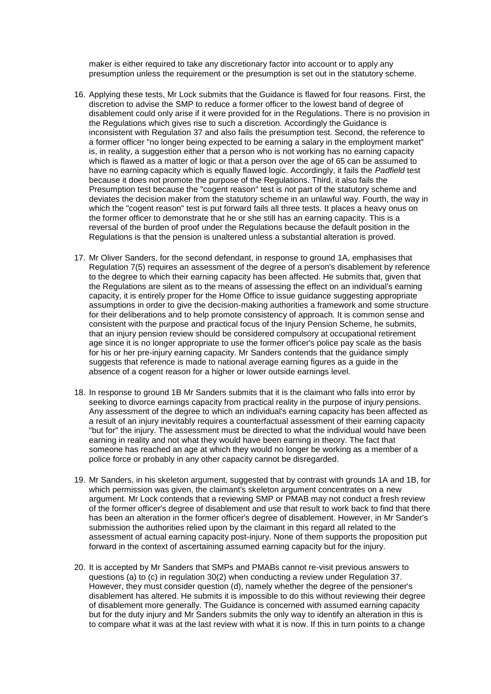maker is either required to take any discretionary factor into account or to apply any presumption unless the requirement or the presumption is set out in the statutory scheme.

- 16. Applying these tests, Mr Lock submits that the Guidance is flawed for four reasons. First, the discretion to advise the SMP to reduce a former officer to the lowest band of degree of disablement could only arise if it were provided for in the Regulations. There is no provision in the Regulations which gives rise to such a discretion. Accordingly the Guidance is inconsistent with Regulation 37 and also fails the presumption test. Second, the reference to a former officer "no longer being expected to be earning a salary in the employment market" is, in reality, a suggestion either that a person who is not working has no earning capacity which is flawed as a matter of logic or that a person over the age of 65 can be assumed to have no earning capacity which is equally flawed logic. Accordingly, it fails the *Padfield* test because it does not promote the purpose of the Regulations. Third, it also fails the Presumption test because the "cogent reason" test is not part of the statutory scheme and deviates the decision maker from the statutory scheme in an unlawful way. Fourth, the way in which the "cogent reason" test is put forward fails all three tests. It places a heavy onus on the former officer to demonstrate that he or she still has an earning capacity. This is a reversal of the burden of proof under the Regulations because the default position in the Regulations is that the pension is unaltered unless a substantial alteration is proved.
- 17. Mr Oliver Sanders, for the second defendant, in response to ground 1A, emphasises that Regulation 7(5) requires an assessment of the degree of a person's disablement by reference to the degree to which their earning capacity has been affected. He submits that, given that the Regulations are silent as to the means of assessing the effect on an individual's earning capacity, it is entirely proper for the Home Office to issue guidance suggesting appropriate assumptions in order to give the decision-making authorities a framework and some structure for their deliberations and to help promote consistency of approach. It is common sense and consistent with the purpose and practical focus of the Injury Pension Scheme, he submits, that an injury pension review should be considered compulsory at occupational retirement age since it is no longer appropriate to use the former officer's police pay scale as the basis for his or her pre-injury earning capacity. Mr Sanders contends that the guidance simply suggests that reference is made to national average earning figures as a guide in the absence of a cogent reason for a higher or lower outside earnings level.
- 18. In response to ground 1B Mr Sanders submits that it is the claimant who falls into error by seeking to divorce earnings capacity from practical reality in the purpose of injury pensions. Any assessment of the degree to which an individual's earning capacity has been affected as a result of an injury inevitably requires a counterfactual assessment of their earning capacity "but for" the injury. The assessment must be directed to what the individual would have been earning in reality and not what they would have been earning in theory. The fact that someone has reached an age at which they would no longer be working as a member of a police force or probably in any other capacity cannot be disregarded.
- 19. Mr Sanders, in his skeleton argument, suggested that by contrast with grounds 1A and 1B, for which permission was given, the claimant's skeleton argument concentrates on a new argument. Mr Lock contends that a reviewing SMP or PMAB may not conduct a fresh review of the former officer's degree of disablement and use that result to work back to find that there has been an alteration in the former officer's degree of disablement. However, in Mr Sander's submission the authorities relied upon by the claimant in this regard all related to the assessment of actual earning capacity post-injury. None of them supports the proposition put forward in the context of ascertaining assumed earning capacity but for the injury.
- 20. It is accepted by Mr Sanders that SMPs and PMABs cannot re-visit previous answers to questions (a) to (c) in regulation 30(2) when conducting a review under Regulation 37. However, they must consider question (d), namely whether the degree of the pensioner's disablement has altered. He submits it is impossible to do this without reviewing their degree of disablement more generally. The Guidance is concerned with assumed earning capacity but for the duty injury and Mr Sanders submits the only way to identify an alteration in this is to compare what it was at the last review with what it is now. If this in turn points to a change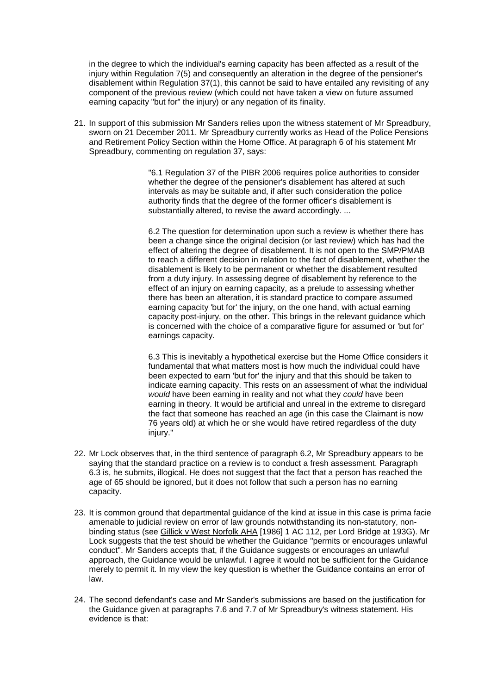in the degree to which the individual's earning capacity has been affected as a result of the injury within Regulation 7(5) and consequently an alteration in the degree of the pensioner's disablement within Regulation 37(1), this cannot be said to have entailed any revisiting of any component of the previous review (which could not have taken a view on future assumed earning capacity "but for" the injury) or any negation of its finality.

21. In support of this submission Mr Sanders relies upon the witness statement of Mr Spreadbury, sworn on 21 December 2011. Mr Spreadbury currently works as Head of the Police Pensions and Retirement Policy Section within the Home Office. At paragraph 6 of his statement Mr Spreadbury, commenting on regulation 37, says:

> "6.1 Regulation 37 of the PIBR 2006 requires police authorities to consider whether the degree of the pensioner's disablement has altered at such intervals as may be suitable and, if after such consideration the police authority finds that the degree of the former officer's disablement is substantially altered, to revise the award accordingly. ...

6.2 The question for determination upon such a review is whether there has been a change since the original decision (or last review) which has had the effect of altering the degree of disablement. It is not open to the SMP/PMAB to reach a different decision in relation to the fact of disablement, whether the disablement is likely to be permanent or whether the disablement resulted from a duty injury. In assessing degree of disablement by reference to the effect of an injury on earning capacity, as a prelude to assessing whether there has been an alteration, it is standard practice to compare assumed earning capacity 'but for' the injury, on the one hand, with actual earning capacity post-injury, on the other. This brings in the relevant guidance which is concerned with the choice of a comparative figure for assumed or 'but for' earnings capacity.

6.3 This is inevitably a hypothetical exercise but the Home Office considers it fundamental that what matters most is how much the individual could have been expected to earn 'but for' the injury and that this should be taken to indicate earning capacity. This rests on an assessment of what the individual *would* have been earning in reality and not what they *could* have been earning in theory. It would be artificial and unreal in the extreme to disregard the fact that someone has reached an age (in this case the Claimant is now 76 years old) at which he or she would have retired regardless of the duty injury."

- 22. Mr Lock observes that, in the third sentence of paragraph 6.2, Mr Spreadbury appears to be saying that the standard practice on a review is to conduct a fresh assessment. Paragraph 6.3 is, he submits, illogical. He does not suggest that the fact that a person has reached the age of 65 should be ignored, but it does not follow that such a person has no earning capacity.
- 23. It is common ground that departmental guidance of the kind at issue in this case is prima facie amenable to judicial review on error of law grounds notwithstanding its non-statutory, nonbinding status (see Gillick v West Norfolk AHA [1986] 1 AC 112, per Lord Bridge at 193G). Mr Lock suggests that the test should be whether the Guidance "permits or encourages unlawful conduct". Mr Sanders accepts that, if the Guidance suggests or encourages an unlawful approach, the Guidance would be unlawful. I agree it would not be sufficient for the Guidance merely to permit it. In my view the key question is whether the Guidance contains an error of law.
- 24. The second defendant's case and Mr Sander's submissions are based on the justification for the Guidance given at paragraphs 7.6 and 7.7 of Mr Spreadbury's witness statement. His evidence is that: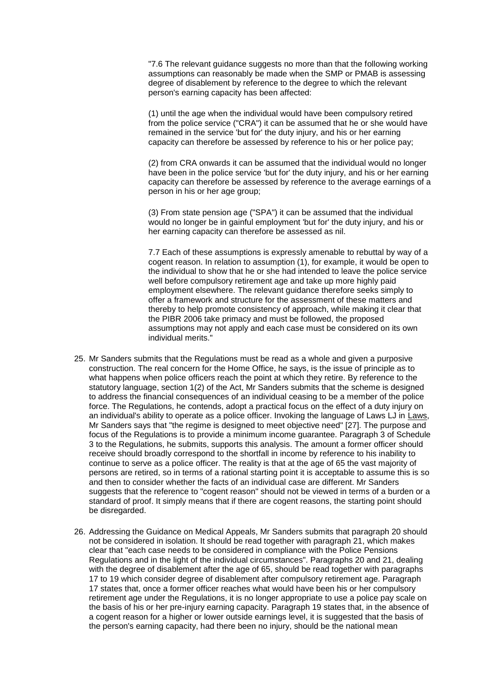"7.6 The relevant guidance suggests no more than that the following working assumptions can reasonably be made when the SMP or PMAB is assessing degree of disablement by reference to the degree to which the relevant person's earning capacity has been affected:

(1) until the age when the individual would have been compulsory retired from the police service ("CRA") it can be assumed that he or she would have remained in the service 'but for' the duty injury, and his or her earning capacity can therefore be assessed by reference to his or her police pay;

(2) from CRA onwards it can be assumed that the individual would no longer have been in the police service 'but for' the duty injury, and his or her earning capacity can therefore be assessed by reference to the average earnings of a person in his or her age group;

(3) From state pension age ("SPA") it can be assumed that the individual would no longer be in gainful employment 'but for' the duty injury, and his or her earning capacity can therefore be assessed as nil.

7.7 Each of these assumptions is expressly amenable to rebuttal by way of a cogent reason. In relation to assumption (1), for example, it would be open to the individual to show that he or she had intended to leave the police service well before compulsory retirement age and take up more highly paid employment elsewhere. The relevant guidance therefore seeks simply to offer a framework and structure for the assessment of these matters and thereby to help promote consistency of approach, while making it clear that the PIBR 2006 take primacy and must be followed, the proposed assumptions may not apply and each case must be considered on its own individual merits."

- 25. Mr Sanders submits that the Regulations must be read as a whole and given a purposive construction. The real concern for the Home Office, he says, is the issue of principle as to what happens when police officers reach the point at which they retire. By reference to the statutory language, section 1(2) of the Act, Mr Sanders submits that the scheme is designed to address the financial consequences of an individual ceasing to be a member of the police force. The Regulations, he contends, adopt a practical focus on the effect of a duty injury on an individual's ability to operate as a police officer. Invoking the language of Laws LJ in Laws, Mr Sanders says that "the regime is designed to meet objective need" [27]. The purpose and focus of the Regulations is to provide a minimum income guarantee. Paragraph 3 of Schedule 3 to the Regulations, he submits, supports this analysis. The amount a former officer should receive should broadly correspond to the shortfall in income by reference to his inability to continue to serve as a police officer. The reality is that at the age of 65 the vast majority of persons are retired, so in terms of a rational starting point it is acceptable to assume this is so and then to consider whether the facts of an individual case are different. Mr Sanders suggests that the reference to "cogent reason" should not be viewed in terms of a burden or a standard of proof. It simply means that if there are cogent reasons, the starting point should be disregarded.
- 26. Addressing the Guidance on Medical Appeals, Mr Sanders submits that paragraph 20 should not be considered in isolation. It should be read together with paragraph 21, which makes clear that "each case needs to be considered in compliance with the Police Pensions Regulations and in the light of the individual circumstances". Paragraphs 20 and 21, dealing with the degree of disablement after the age of 65, should be read together with paragraphs 17 to 19 which consider degree of disablement after compulsory retirement age. Paragraph 17 states that, once a former officer reaches what would have been his or her compulsory retirement age under the Regulations, it is no longer appropriate to use a police pay scale on the basis of his or her pre-injury earning capacity. Paragraph 19 states that, in the absence of a cogent reason for a higher or lower outside earnings level, it is suggested that the basis of the person's earning capacity, had there been no injury, should be the national mean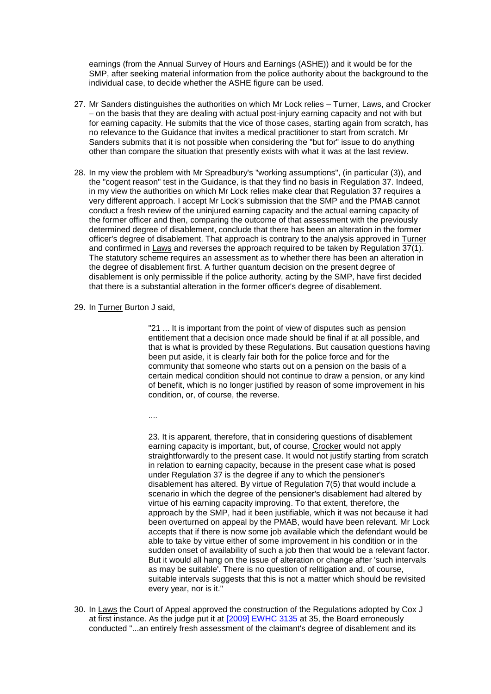earnings (from the Annual Survey of Hours and Earnings (ASHE)) and it would be for the SMP, after seeking material information from the police authority about the background to the individual case, to decide whether the ASHE figure can be used.

- 27. Mr Sanders distinguishes the authorities on which Mr Lock relies Turner, Laws, and Crocker – on the basis that they are dealing with actual post-injury earning capacity and not with but for earning capacity. He submits that the vice of those cases, starting again from scratch, has no relevance to the Guidance that invites a medical practitioner to start from scratch. Mr Sanders submits that it is not possible when considering the "but for" issue to do anything other than compare the situation that presently exists with what it was at the last review.
- 28. In my view the problem with Mr Spreadbury's "working assumptions", (in particular (3)), and the "cogent reason" test in the Guidance, is that they find no basis in Regulation 37. Indeed, in my view the authorities on which Mr Lock relies make clear that Regulation 37 requires a very different approach. I accept Mr Lock's submission that the SMP and the PMAB cannot conduct a fresh review of the uninjured earning capacity and the actual earning capacity of the former officer and then, comparing the outcome of that assessment with the previously determined degree of disablement, conclude that there has been an alteration in the former officer's degree of disablement. That approach is contrary to the analysis approved in Turner and confirmed in Laws and reverses the approach required to be taken by Regulation 37(1). The statutory scheme requires an assessment as to whether there has been an alteration in the degree of disablement first. A further quantum decision on the present degree of disablement is only permissible if the police authority, acting by the SMP, have first decided that there is a substantial alteration in the former officer's degree of disablement.
- 29. In Turner Burton J said,

"21 ... It is important from the point of view of disputes such as pension entitlement that a decision once made should be final if at all possible, and that is what is provided by these Regulations. But causation questions having been put aside, it is clearly fair both for the police force and for the community that someone who starts out on a pension on the basis of a certain medical condition should not continue to draw a pension, or any kind of benefit, which is no longer justified by reason of some improvement in his condition, or, of course, the reverse.

....

23. It is apparent, therefore, that in considering questions of disablement earning capacity is important, but, of course, Crocker would not apply straightforwardly to the present case. It would not justify starting from scratch in relation to earning capacity, because in the present case what is posed under Regulation 37 is the degree if any to which the pensioner's disablement has altered. By virtue of Regulation 7(5) that would include a scenario in which the degree of the pensioner's disablement had altered by virtue of his earning capacity improving. To that extent, therefore, the approach by the SMP, had it been justifiable, which it was not because it had been overturned on appeal by the PMAB, would have been relevant. Mr Lock accepts that if there is now some job available which the defendant would be able to take by virtue either of some improvement in his condition or in the sudden onset of availability of such a job then that would be a relevant factor. But it would all hang on the issue of alteration or change after 'such intervals as may be suitable'. There is no question of relitigation and, of course, suitable intervals suggests that this is not a matter which should be revisited every year, nor is it."

30. In Laws the Court of Appeal approved the construction of the Regulations adopted by Cox J at first instance. As the judge put it at [\[2009\] EWHC 3135](http://www.bailii.org/ew/cases/EWHC/Admin/2009/3135.html) at 35, the Board erroneously conducted "...an entirely fresh assessment of the claimant's degree of disablement and its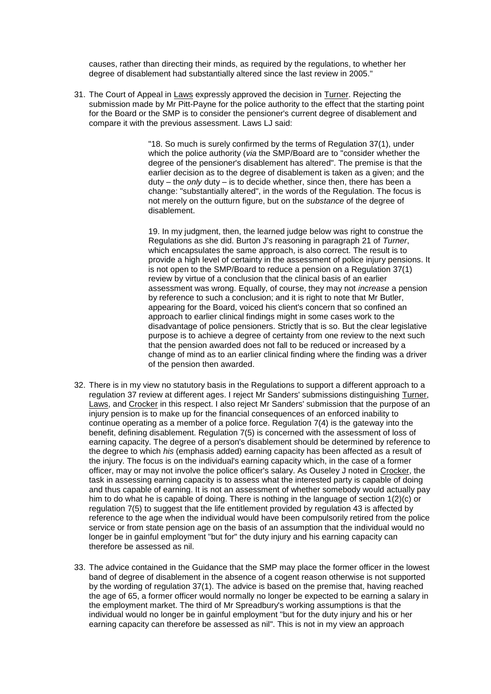causes, rather than directing their minds, as required by the regulations, to whether her degree of disablement had substantially altered since the last review in 2005."

31. The Court of Appeal in Laws expressly approved the decision in Turner. Rejecting the submission made by Mr Pitt-Payne for the police authority to the effect that the starting point for the Board or the SMP is to consider the pensioner's current degree of disablement and compare it with the previous assessment. Laws LJ said:

> "18. So much is surely confirmed by the terms of Regulation 37(1), under which the police authority (*via* the SMP/Board are to "consider whether the degree of the pensioner's disablement has altered". The premise is that the earlier decision as to the degree of disablement is taken as a given; and the duty – the *only* duty – is to decide whether, since then, there has been a change: "substantially altered", in the words of the Regulation. The focus is not merely on the outturn figure, but on the *substance* of the degree of disablement.

19. In my judgment, then, the learned judge below was right to construe the Regulations as she did. Burton J's reasoning in paragraph 21 of *Turner*, which encapsulates the same approach, is also correct. The result is to provide a high level of certainty in the assessment of police injury pensions. It is not open to the SMP/Board to reduce a pension on a Regulation 37(1) review by virtue of a conclusion that the clinical basis of an earlier assessment was wrong. Equally, of course, they may not *increase* a pension by reference to such a conclusion; and it is right to note that Mr Butler, appearing for the Board, voiced his client's concern that so confined an approach to earlier clinical findings might in some cases work to the disadvantage of police pensioners. Strictly that is so. But the clear legislative purpose is to achieve a degree of certainty from one review to the next such that the pension awarded does not fall to be reduced or increased by a change of mind as to an earlier clinical finding where the finding was a driver of the pension then awarded.

- 32. There is in my view no statutory basis in the Regulations to support a different approach to a regulation 37 review at different ages. I reject Mr Sanders' submissions distinguishing Turner, Laws, and Crocker in this respect. I also reject Mr Sanders' submission that the purpose of an injury pension is to make up for the financial consequences of an enforced inability to continue operating as a member of a police force. Regulation 7(4) is the gateway into the benefit, defining disablement. Regulation 7(5) is concerned with the assessment of loss of earning capacity. The degree of a person's disablement should be determined by reference to the degree to which *his* (emphasis added) earning capacity has been affected as a result of the injury. The focus is on the individual's earning capacity which, in the case of a former officer, may or may not involve the police officer's salary. As Ouseley J noted in Crocker, the task in assessing earning capacity is to assess what the interested party is capable of doing and thus capable of earning. It is not an assessment of whether somebody would actually pay him to do what he is capable of doing. There is nothing in the language of section 1(2)(c) or regulation 7(5) to suggest that the life entitlement provided by regulation 43 is affected by reference to the age when the individual would have been compulsorily retired from the police service or from state pension age on the basis of an assumption that the individual would no longer be in gainful employment "but for" the duty injury and his earning capacity can therefore be assessed as nil.
- 33. The advice contained in the Guidance that the SMP may place the former officer in the lowest band of degree of disablement in the absence of a cogent reason otherwise is not supported by the wording of regulation 37(1). The advice is based on the premise that, having reached the age of 65, a former officer would normally no longer be expected to be earning a salary in the employment market. The third of Mr Spreadbury's working assumptions is that the individual would no longer be in gainful employment "but for the duty injury and his or her earning capacity can therefore be assessed as nil". This is not in my view an approach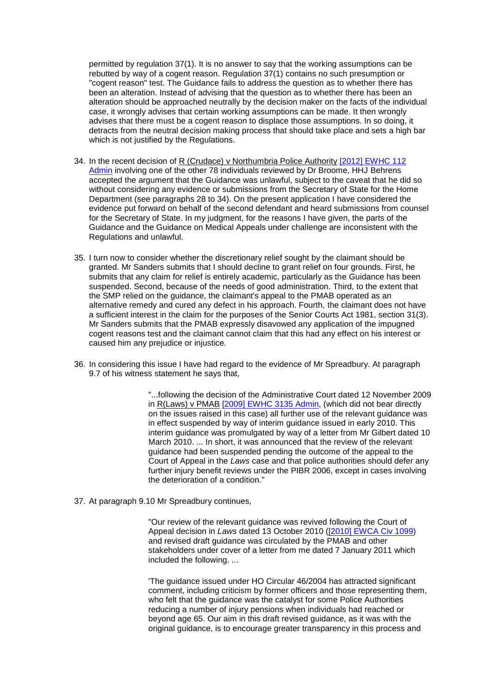permitted by regulation 37(1). It is no answer to say that the working assumptions can be rebutted by way of a cogent reason. Regulation 37(1) contains no such presumption or "cogent reason" test. The Guidance fails to address the question as to whether there has been an alteration. Instead of advising that the question as to whether there has been an alteration should be approached neutrally by the decision maker on the facts of the individual case, it wrongly advises that certain working assumptions can be made. It then wrongly advises that there must be a cogent reason to displace those assumptions. In so doing, it detracts from the neutral decision making process that should take place and sets a high bar which is not justified by the Regulations.

- 34. In the recent decision of R (Crudace) v Northumbria Police Authority [2012] EWHC 112 [Admin](http://www.bailii.org/ew/cases/EWHC/Admin/2012/112.html) involving one of the other 78 individuals reviewed by Dr Broome, HHJ Behrens accepted the argument that the Guidance was unlawful, subject to the caveat that he did so without considering any evidence or submissions from the Secretary of State for the Home Department (see paragraphs 28 to 34). On the present application I have considered the evidence put forward on behalf of the second defendant and heard submissions from counsel for the Secretary of State. In my judgment, for the reasons I have given, the parts of the Guidance and the Guidance on Medical Appeals under challenge are inconsistent with the Regulations and unlawful.
- 35. I turn now to consider whether the discretionary relief sought by the claimant should be granted. Mr Sanders submits that I should decline to grant relief on four grounds. First, he submits that any claim for relief is entirely academic, particularly as the Guidance has been suspended. Second, because of the needs of good administration. Third, to the extent that the SMP relied on the guidance, the claimant's appeal to the PMAB operated as an alternative remedy and cured any defect in his approach. Fourth, the claimant does not have a sufficient interest in the claim for the purposes of the Senior Courts Act 1981, section 31(3). Mr Sanders submits that the PMAB expressly disavowed any application of the impugned cogent reasons test and the claimant cannot claim that this had any effect on his interest or caused him any prejudice or injustice.
- 36. In considering this issue I have had regard to the evidence of Mr Spreadbury. At paragraph 9.7 of his witness statement he says that,

"...following the decision of the Administrative Court dated 12 November 2009 in R(Laws) v PMAB [\[2009\] EWHC 3135 Admin,](http://www.bailii.org/ew/cases/EWHC/Admin/2009/3135.html) (which did not bear directly on the issues raised in this case) all further use of the relevant guidance was in effect suspended by way of interim guidance issued in early 2010. This interim guidance was promulgated by way of a letter from Mr Gilbert dated 10 March 2010. ... In short, it was announced that the review of the relevant guidance had been suspended pending the outcome of the appeal to the Court of Appeal in the *Laws* case and that police authorities should defer any further injury benefit reviews under the PIBR 2006, except in cases involving the deterioration of a condition."

37. At paragraph 9.10 Mr Spreadbury continues,

"Our review of the relevant guidance was revived following the Court of Appeal decision in *Laws* dated 13 October 2010 [\(\[2010\] EWCA Civ 1099\)](http://www.bailii.org/ew/cases/EWCA/Civ/2010/1099.html) and revised draft guidance was circulated by the PMAB and other stakeholders under cover of a letter from me dated 7 January 2011 which included the following. ...

'The guidance issued under HO Circular 46/2004 has attracted significant comment, including criticism by former officers and those representing them, who felt that the guidance was the catalyst for some Police Authorities reducing a number of injury pensions when individuals had reached or beyond age 65. Our aim in this draft revised guidance, as it was with the original guidance, is to encourage greater transparency in this process and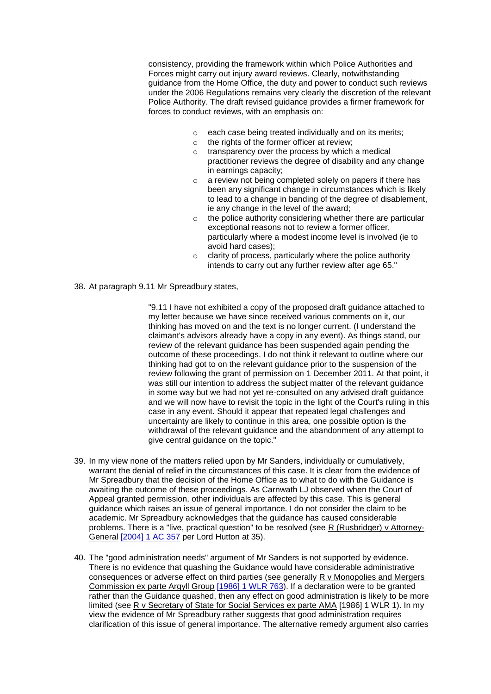consistency, providing the framework within which Police Authorities and Forces might carry out injury award reviews. Clearly, notwithstanding guidance from the Home Office, the duty and power to conduct such reviews under the 2006 Regulations remains very clearly the discretion of the relevant Police Authority. The draft revised guidance provides a firmer framework for forces to conduct reviews, with an emphasis on:

- $\circ$  each case being treated individually and on its merits;
- $\circ$  the rights of the former officer at review:
- $\circ$  transparency over the process by which a medical practitioner reviews the degree of disability and any change in earnings capacity;
- o a review not being completed solely on papers if there has been any significant change in circumstances which is likely to lead to a change in banding of the degree of disablement, ie any change in the level of the award;
- $\circ$  the police authority considering whether there are particular exceptional reasons not to review a former officer, particularly where a modest income level is involved (ie to avoid hard cases);
- o clarity of process, particularly where the police authority intends to carry out any further review after age 65."
- 38. At paragraph 9.11 Mr Spreadbury states,

"9.11 I have not exhibited a copy of the proposed draft guidance attached to my letter because we have since received various comments on it, our thinking has moved on and the text is no longer current. (I understand the claimant's advisors already have a copy in any event). As things stand, our review of the relevant guidance has been suspended again pending the outcome of these proceedings. I do not think it relevant to outline where our thinking had got to on the relevant guidance prior to the suspension of the review following the grant of permission on 1 December 2011. At that point, it was still our intention to address the subject matter of the relevant guidance in some way but we had not yet re-consulted on any advised draft guidance and we will now have to revisit the topic in the light of the Court's ruling in this case in any event. Should it appear that repeated legal challenges and uncertainty are likely to continue in this area, one possible option is the withdrawal of the relevant guidance and the abandonment of any attempt to give central guidance on the topic."

- 39. In my view none of the matters relied upon by Mr Sanders, individually or cumulatively, warrant the denial of relief in the circumstances of this case. It is clear from the evidence of Mr Spreadbury that the decision of the Home Office as to what to do with the Guidance is awaiting the outcome of these proceedings. As Carnwath LJ observed when the Court of Appeal granted permission, other individuals are affected by this case. This is general guidance which raises an issue of general importance. I do not consider the claim to be academic. Mr Spreadbury acknowledges that the guidance has caused considerable problems. There is a "live, practical question" to be resolved (see R (Rusbridger) v Attorney-General [\[2004\] 1 AC 357](http://www.bailii.org/cgi-bin/redirect.cgi?path=/uk/cases/UKHL/2003/38.html) per Lord Hutton at 35).
- 40. The "good administration needs" argument of Mr Sanders is not supported by evidence. There is no evidence that quashing the Guidance would have considerable administrative consequences or adverse effect on third parties (see generally R v Monopolies and Mergers Commission ex parte Argyll Group [\[1986\] 1 WLR 763\)](http://www.bailii.org/cgi-bin/redirect.cgi?path=/ew/cases/EWCA/Civ/1986/8.html). If a declaration were to be granted rather than the Guidance quashed, then any effect on good administration is likely to be more limited (see R v Secretary of State for Social Services ex parte AMA [1986] 1 WLR 1). In my view the evidence of Mr Spreadbury rather suggests that good administration requires clarification of this issue of general importance. The alternative remedy argument also carries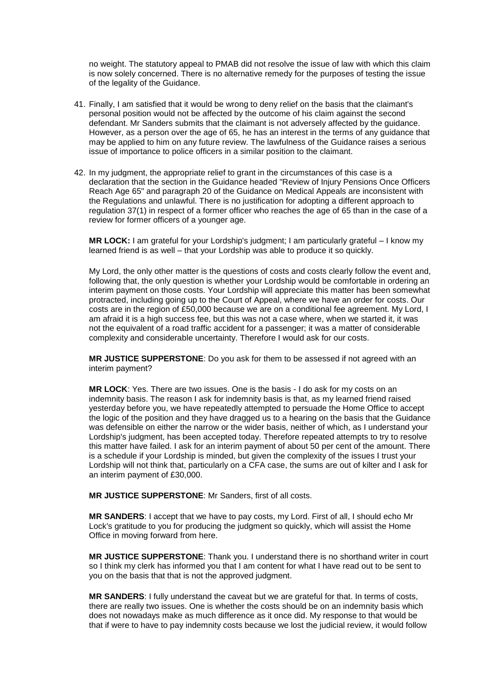no weight. The statutory appeal to PMAB did not resolve the issue of law with which this claim is now solely concerned. There is no alternative remedy for the purposes of testing the issue of the legality of the Guidance.

- 41. Finally, I am satisfied that it would be wrong to deny relief on the basis that the claimant's personal position would not be affected by the outcome of his claim against the second defendant. Mr Sanders submits that the claimant is not adversely affected by the guidance. However, as a person over the age of 65, he has an interest in the terms of any guidance that may be applied to him on any future review. The lawfulness of the Guidance raises a serious issue of importance to police officers in a similar position to the claimant.
- 42. In my judgment, the appropriate relief to grant in the circumstances of this case is a declaration that the section in the Guidance headed "Review of Injury Pensions Once Officers Reach Age 65" and paragraph 20 of the Guidance on Medical Appeals are inconsistent with the Regulations and unlawful. There is no justification for adopting a different approach to regulation 37(1) in respect of a former officer who reaches the age of 65 than in the case of a review for former officers of a younger age.

**MR LOCK:** I am grateful for your Lordship's judgment; I am particularly grateful – I know my learned friend is as well – that your Lordship was able to produce it so quickly.

My Lord, the only other matter is the questions of costs and costs clearly follow the event and, following that, the only question is whether your Lordship would be comfortable in ordering an interim payment on those costs. Your Lordship will appreciate this matter has been somewhat protracted, including going up to the Court of Appeal, where we have an order for costs. Our costs are in the region of £50,000 because we are on a conditional fee agreement. My Lord, I am afraid it is a high success fee, but this was not a case where, when we started it, it was not the equivalent of a road traffic accident for a passenger; it was a matter of considerable complexity and considerable uncertainty. Therefore I would ask for our costs.

**MR JUSTICE SUPPERSTONE**: Do you ask for them to be assessed if not agreed with an interim payment?

**MR LOCK**: Yes. There are two issues. One is the basis - I do ask for my costs on an indemnity basis. The reason I ask for indemnity basis is that, as my learned friend raised yesterday before you, we have repeatedly attempted to persuade the Home Office to accept the logic of the position and they have dragged us to a hearing on the basis that the Guidance was defensible on either the narrow or the wider basis, neither of which, as I understand your Lordship's judgment, has been accepted today. Therefore repeated attempts to try to resolve this matter have failed. I ask for an interim payment of about 50 per cent of the amount. There is a schedule if your Lordship is minded, but given the complexity of the issues I trust your Lordship will not think that, particularly on a CFA case, the sums are out of kilter and I ask for an interim payment of £30,000.

**MR JUSTICE SUPPERSTONE**: Mr Sanders, first of all costs.

**MR SANDERS**: I accept that we have to pay costs, my Lord. First of all, I should echo Mr Lock's gratitude to you for producing the judgment so quickly, which will assist the Home Office in moving forward from here.

**MR JUSTICE SUPPERSTONE**: Thank you. I understand there is no shorthand writer in court so I think my clerk has informed you that I am content for what I have read out to be sent to you on the basis that that is not the approved judgment.

**MR SANDERS**: I fully understand the caveat but we are grateful for that. In terms of costs, there are really two issues. One is whether the costs should be on an indemnity basis which does not nowadays make as much difference as it once did. My response to that would be that if were to have to pay indemnity costs because we lost the judicial review, it would follow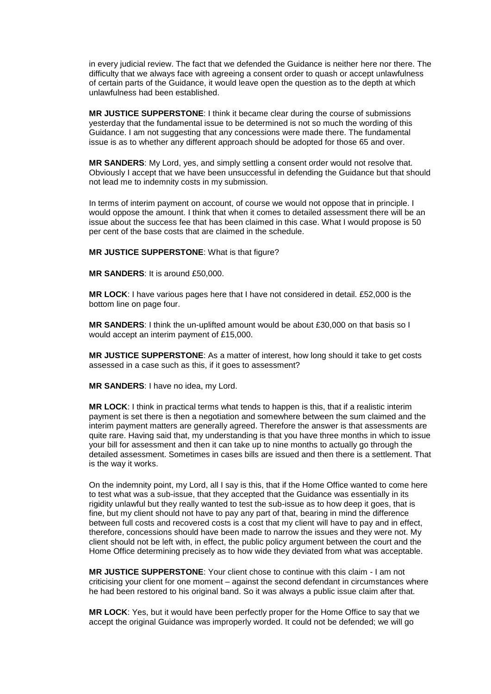in every judicial review. The fact that we defended the Guidance is neither here nor there. The difficulty that we always face with agreeing a consent order to quash or accept unlawfulness of certain parts of the Guidance, it would leave open the question as to the depth at which unlawfulness had been established.

**MR JUSTICE SUPPERSTONE**: I think it became clear during the course of submissions yesterday that the fundamental issue to be determined is not so much the wording of this Guidance. I am not suggesting that any concessions were made there. The fundamental issue is as to whether any different approach should be adopted for those 65 and over.

**MR SANDERS**: My Lord, yes, and simply settling a consent order would not resolve that. Obviously I accept that we have been unsuccessful in defending the Guidance but that should not lead me to indemnity costs in my submission.

In terms of interim payment on account, of course we would not oppose that in principle. I would oppose the amount. I think that when it comes to detailed assessment there will be an issue about the success fee that has been claimed in this case. What I would propose is 50 per cent of the base costs that are claimed in the schedule.

**MR JUSTICE SUPPERSTONE**: What is that figure?

**MR SANDERS**: It is around £50,000.

**MR LOCK**: I have various pages here that I have not considered in detail. £52,000 is the bottom line on page four.

**MR SANDERS**: I think the un-uplifted amount would be about £30,000 on that basis so I would accept an interim payment of £15,000.

**MR JUSTICE SUPPERSTONE**: As a matter of interest, how long should it take to get costs assessed in a case such as this, if it goes to assessment?

**MR SANDERS**: I have no idea, my Lord.

**MR LOCK**: I think in practical terms what tends to happen is this, that if a realistic interim payment is set there is then a negotiation and somewhere between the sum claimed and the interim payment matters are generally agreed. Therefore the answer is that assessments are quite rare. Having said that, my understanding is that you have three months in which to issue your bill for assessment and then it can take up to nine months to actually go through the detailed assessment. Sometimes in cases bills are issued and then there is a settlement. That is the way it works.

On the indemnity point, my Lord, all I say is this, that if the Home Office wanted to come here to test what was a sub-issue, that they accepted that the Guidance was essentially in its rigidity unlawful but they really wanted to test the sub-issue as to how deep it goes, that is fine, but my client should not have to pay any part of that, bearing in mind the difference between full costs and recovered costs is a cost that my client will have to pay and in effect, therefore, concessions should have been made to narrow the issues and they were not. My client should not be left with, in effect, the public policy argument between the court and the Home Office determining precisely as to how wide they deviated from what was acceptable.

**MR JUSTICE SUPPERSTONE**: Your client chose to continue with this claim - I am not criticising your client for one moment – against the second defendant in circumstances where he had been restored to his original band. So it was always a public issue claim after that.

**MR LOCK**: Yes, but it would have been perfectly proper for the Home Office to say that we accept the original Guidance was improperly worded. It could not be defended; we will go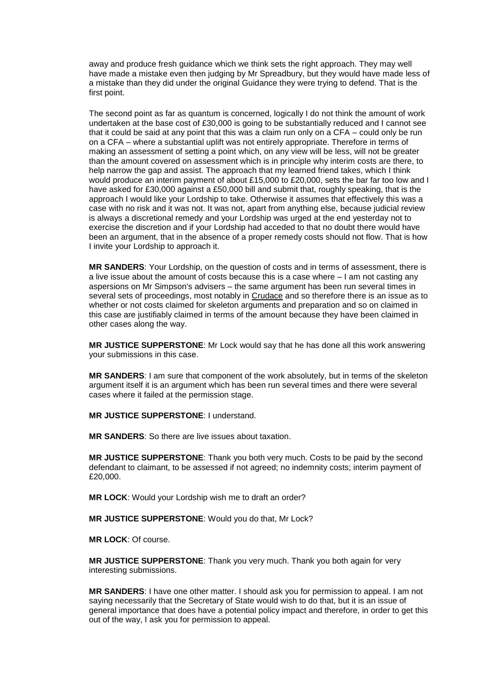away and produce fresh guidance which we think sets the right approach. They may well have made a mistake even then judging by Mr Spreadbury, but they would have made less of a mistake than they did under the original Guidance they were trying to defend. That is the first point.

The second point as far as quantum is concerned, logically I do not think the amount of work undertaken at the base cost of £30,000 is going to be substantially reduced and I cannot see that it could be said at any point that this was a claim run only on a CFA – could only be run on a CFA – where a substantial uplift was not entirely appropriate. Therefore in terms of making an assessment of setting a point which, on any view will be less, will not be greater than the amount covered on assessment which is in principle why interim costs are there, to help narrow the gap and assist. The approach that my learned friend takes, which I think would produce an interim payment of about £15,000 to £20,000, sets the bar far too low and I have asked for £30,000 against a £50,000 bill and submit that, roughly speaking, that is the approach I would like your Lordship to take. Otherwise it assumes that effectively this was a case with no risk and it was not. It was not, apart from anything else, because judicial review is always a discretional remedy and your Lordship was urged at the end yesterday not to exercise the discretion and if your Lordship had acceded to that no doubt there would have been an argument, that in the absence of a proper remedy costs should not flow. That is how I invite your Lordship to approach it.

**MR SANDERS**: Your Lordship, on the question of costs and in terms of assessment, there is a live issue about the amount of costs because this is a case where – I am not casting any aspersions on Mr Simpson's advisers – the same argument has been run several times in several sets of proceedings, most notably in Crudace and so therefore there is an issue as to whether or not costs claimed for skeleton arguments and preparation and so on claimed in this case are justifiably claimed in terms of the amount because they have been claimed in other cases along the way.

**MR JUSTICE SUPPERSTONE**: Mr Lock would say that he has done all this work answering your submissions in this case.

**MR SANDERS**: I am sure that component of the work absolutely, but in terms of the skeleton argument itself it is an argument which has been run several times and there were several cases where it failed at the permission stage.

**MR JUSTICE SUPPERSTONE**: I understand.

**MR SANDERS**: So there are live issues about taxation.

**MR JUSTICE SUPPERSTONE**: Thank you both very much. Costs to be paid by the second defendant to claimant, to be assessed if not agreed; no indemnity costs; interim payment of £20,000.

**MR LOCK**: Would your Lordship wish me to draft an order?

**MR JUSTICE SUPPERSTONE**: Would you do that, Mr Lock?

**MR LOCK**: Of course.

**MR JUSTICE SUPPERSTONE**: Thank you very much. Thank you both again for very interesting submissions.

**MR SANDERS**: I have one other matter. I should ask you for permission to appeal. I am not saying necessarily that the Secretary of State would wish to do that, but it is an issue of general importance that does have a potential policy impact and therefore, in order to get this out of the way, I ask you for permission to appeal.